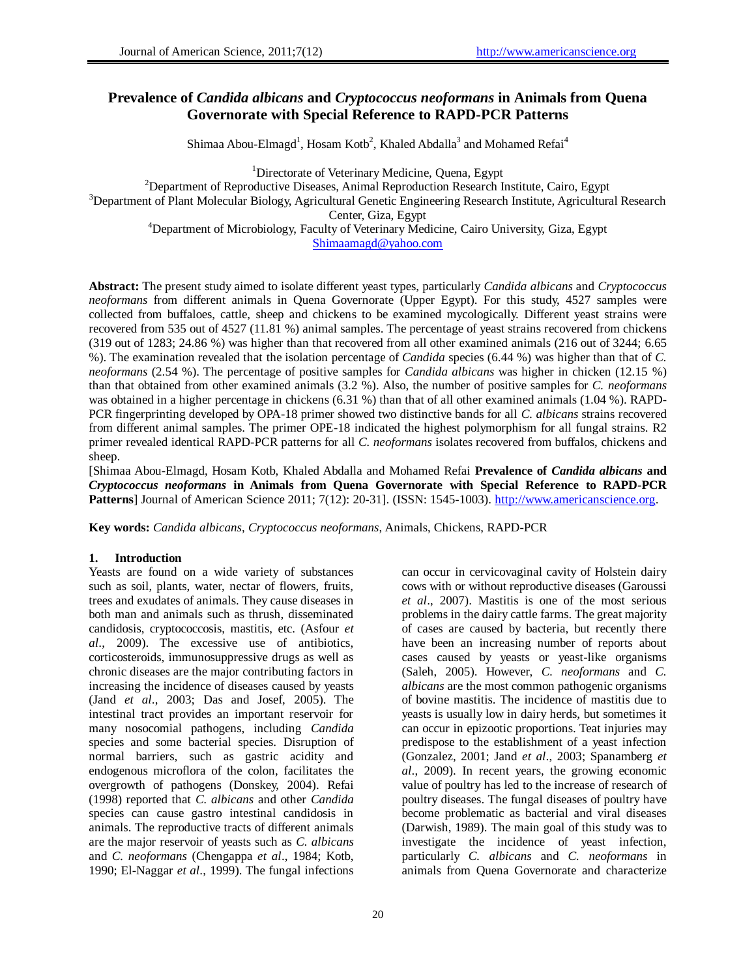# **Prevalence of** *Candida albicans* **and** *Cryptococcus neoformans* **in Animals from Quena Governorate with Special Reference to RAPD-PCR Patterns**

Shimaa Abou-Elmagd<sup>1</sup>, Hosam Kotb<sup>2</sup>, Khaled Abdalla<sup>3</sup> and Mohamed Refai<sup>4</sup>

<sup>1</sup>Directorate of Veterinary Medicine, Quena, Egypt <sup>2</sup>Department of Reproductive Diseases, Animal Reproduction Research Institute, Cairo, Egypt <sup>3</sup>Department of Plant Molecular Biology, Agricultural Genetic Engineering Research Institute, Agricultural Research Center, Giza, Egypt <sup>4</sup>Department of Microbiology, Faculty of Veterinary Medicine, Cairo University, Giza, Egypt [Shimaamagd@yahoo.com](mailto:Shimaamagd@yahoo.com)

**Abstract:** The present study aimed to isolate different yeast types, particularly *Candida albicans* and *Cryptococcus neoformans* from different animals in Quena Governorate (Upper Egypt). For this study, 4527 samples were collected from buffaloes, cattle, sheep and chickens to be examined mycologically. Different yeast strains were recovered from 535 out of 4527 (11.81 %) animal samples. The percentage of yeast strains recovered from chickens (319 out of 1283; 24.86 %) was higher than that recovered from all other examined animals (216 out of 3244; 6.65 %). The examination revealed that the isolation percentage of *Candida* species (6.44 %) was higher than that of *C. neoformans* (2.54 %). The percentage of positive samples for *Candida albicans* was higher in chicken (12.15 %) than that obtained from other examined animals (3.2 %). Also, the number of positive samples for *C. neoformans* was obtained in a higher percentage in chickens (6.31 %) than that of all other examined animals (1.04 %). RAPD-PCR fingerprinting developed by OPA-18 primer showed two distinctive bands for all *C. albicans* strains recovered from different animal samples. The primer OPE-18 indicated the highest polymorphism for all fungal strains. R2 primer revealed identical RAPD-PCR patterns for all *C. neoformans* isolates recovered from buffalos, chickens and sheep.

[Shimaa Abou-Elmagd, Hosam Kotb, Khaled Abdalla and Mohamed Refai **Prevalence of** *Candida albicans* **and** *Cryptococcus neoformans* **in Animals from Quena Governorate with Special Reference to RAPD-PCR Patterns**] Journal of American Science 2011; 7(12): 20-31]. (ISSN: 1545-1003[\). http://www.americanscience.org](http://www.americanscience.org/).

**Key words:** *Candida albicans*, *Cryptococcus neoformans*, Animals, Chickens, RAPD-PCR

# **1. Introduction**

Yeasts are found on a wide variety of substances such as soil, plants, water, nectar of flowers, fruits, trees and exudates of animals. They cause diseases in both man and animals such as thrush, disseminated candidosis, cryptococcosis, mastitis, etc. (Asfour *et al*., 2009). The excessive use of antibiotics, corticosteroids, immunosuppressive drugs as well as chronic diseases are the major contributing factors in increasing the incidence of diseases caused by yeasts (Jand *et al*., 2003; Das and Josef, 2005). The intestinal tract provides an important reservoir for many nosocomial pathogens, including *Candida* species and some bacterial species. Disruption of normal barriers, such as gastric acidity and endogenous microflora of the colon, facilitates the overgrowth of pathogens (Donskey, 2004). Refai (1998) reported that *C. albicans* and other *Candida* species can cause gastro intestinal candidosis in animals. The reproductive tracts of different animals are the major reservoir of yeasts such as *C. albicans* and *C. neoformans* (Chengappa *et al*., 1984; Kotb, 1990; El-Naggar *et al*., 1999). The fungal infections

can occur in cervicovaginal cavity of Holstein dairy cows with or without reproductive diseases (Garoussi *et al*., 2007). Mastitis is one of the most serious problems in the dairy cattle farms. The great majority of cases are caused by bacteria, but recently there have been an increasing number of reports about cases caused by yeasts or yeast-like organisms (Saleh, 2005). However, *C. neoformans* and *C. albicans* are the most common pathogenic organisms of bovine mastitis. The incidence of mastitis due to yeasts is usually low in dairy herds, but sometimes it can occur in epizootic proportions. Teat injuries may predispose to the establishment of a yeast infection (Gonzalez, 2001; Jand *et al*., 2003; Spanamberg *et al*., 2009). In recent years, the growing economic value of poultry has led to the increase of research of poultry diseases. The fungal diseases of poultry have become problematic as bacterial and viral diseases (Darwish, 1989). The main goal of this study was to investigate the incidence of yeast infection, particularly *C. albicans* and *C. neoformans* in animals from Quena Governorate and characterize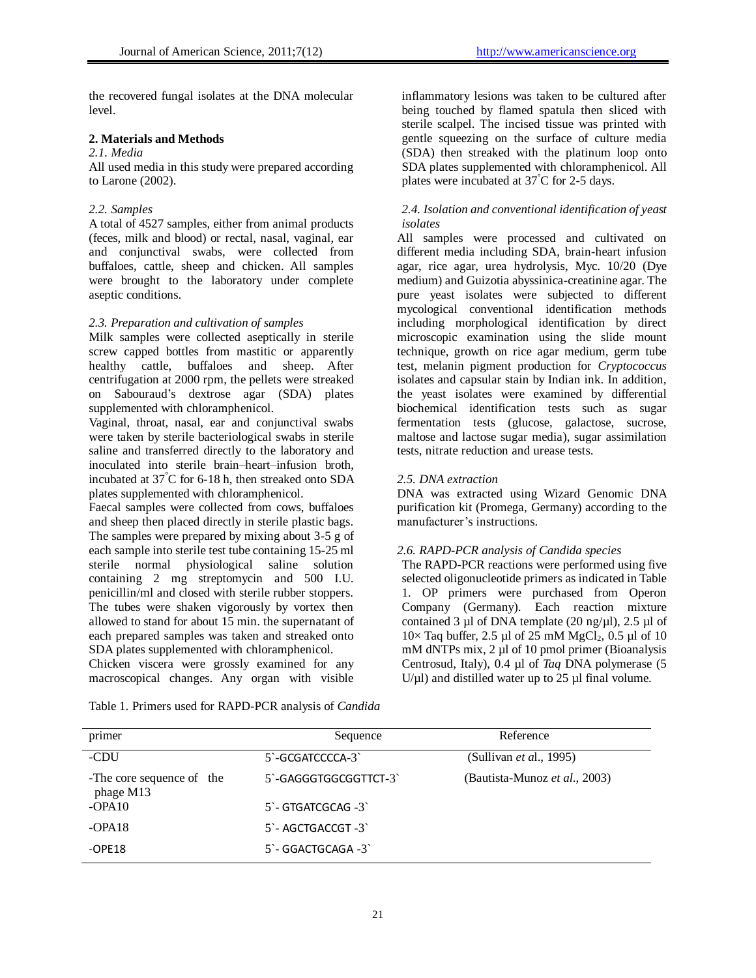the recovered fungal isolates at the DNA molecular level.

# **2. Materials and Methods**

# *2.1. Media*

All used media in this study were prepared according to Larone (2002).

### *2.2. Samples*

A total of 4527 samples, either from animal products (feces, milk and blood) or rectal, nasal, vaginal, ear and conjunctival swabs, were collected from buffaloes, cattle, sheep and chicken. All samples were brought to the laboratory under complete aseptic conditions.

#### *2.3. Preparation and cultivation of samples*

Milk samples were collected aseptically in sterile screw capped bottles from mastitic or apparently healthy cattle, buffaloes and sheep. After centrifugation at 2000 rpm, the pellets were streaked on Sabouraud's dextrose agar (SDA) plates supplemented with chloramphenicol.

Vaginal, throat, nasal, ear and conjunctival swabs were taken by sterile bacteriological swabs in sterile saline and transferred directly to the laboratory and inoculated into sterile brain–heart–infusion broth, incubated at 37°C for 6-18 h, then streaked onto SDA plates supplemented with chloramphenicol.

Faecal samples were collected from cows, buffaloes and sheep then placed directly in sterile plastic bags. The samples were prepared by mixing about 3-5 g of each sample into sterile test tube containing 15-25 ml sterile normal physiological saline solution containing 2 mg streptomycin and 500 I.U. penicillin/ml and closed with sterile rubber stoppers. The tubes were shaken vigorously by vortex then allowed to stand for about 15 min. the supernatant of each prepared samples was taken and streaked onto SDA plates supplemented with chloramphenicol.

Chicken viscera were grossly examined for any macroscopical changes. Any organ with visible

inflammatory lesions was taken to be cultured after being touched by flamed spatula then sliced with sterile scalpel. The incised tissue was printed with gentle squeezing on the surface of culture media (SDA) then streaked with the platinum loop onto SDA plates supplemented with chloramphenicol. All plates were incubated at  $37^{\circ}$ C for 2-5 days.

## *2.4. Isolation and conventional identification of yeast isolates*

All samples were processed and cultivated on different media including SDA, brain-heart infusion agar, rice agar, urea hydrolysis, Myc. 10/20 (Dye medium) and Guizotia abyssinica-creatinine agar. The pure yeast isolates were subjected to different mycological conventional identification methods including morphological identification by direct microscopic examination using the slide mount technique, growth on rice agar medium, germ tube test, melanin pigment production for *Cryptococcus* isolates and capsular stain by Indian ink. In addition, the yeast isolates were examined by differential biochemical identification tests such as sugar fermentation tests (glucose, galactose, sucrose, maltose and lactose sugar media), sugar assimilation tests, nitrate reduction and urease tests.

#### *2.5. DNA extraction*

DNA was extracted using Wizard Genomic DNA purification kit (Promega, Germany) according to the manufacturer's instructions.

# *2.6. RAPD-PCR analysis of Candida species*

The RAPD-PCR reactions were performed using five selected oligonucleotide primers as indicated in Table 1. OP primers were purchased from Operon Company (Germany). Each reaction mixture contained 3 µl of DNA template  $(20 \text{ ng/µl})$ , 2.5 µl of  $10\times$  Taq buffer, 2.5 µl of 25 mM MgCl<sub>2</sub>, 0.5 µl of 10 mM dNTPs mix, 2 µl of 10 pmol primer (Bioanalysis Centrosud, Italy), 0.4 µl of *Taq* DNA polymerase (5  $U/\mu$ l) and distilled water up to 25  $\mu$ l final volume.

Table 1. Primers used for RAPD-PCR analysis of *Candida*

| primer                                 | Sequence              | Reference                             |
|----------------------------------------|-----------------------|---------------------------------------|
| -CDU                                   | 5 - GCGATCCCCA-3      | (Sullivan <i>et al.</i> , 1995)       |
| -The core sequence of the<br>phage M13 | 5 - GAGGGTGGCGGTTCT-3 | (Bautista-Munoz <i>et al.</i> , 2003) |
| $-OPA10$                               | $5$ - GTGATCGCAG -3   |                                       |
| $-OPA18$                               | $5 - AGCTGACCGT - 3$  |                                       |
| $-$ OPE18                              | 5 - GGACTGCAGA -3     |                                       |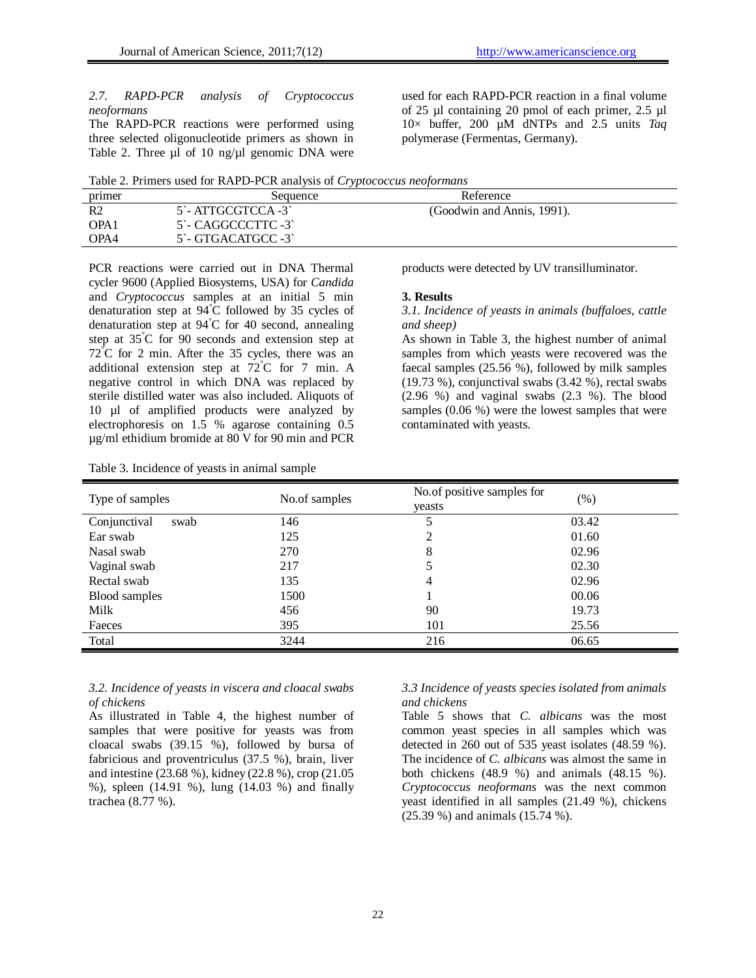# *2.7. RAPD-PCR analysis of Cryptococcus neoformans*

The RAPD-PCR reactions were performed using three selected oligonucleotide primers as shown in Table 2. Three  $\mu$ l of 10 ng/ $\mu$ l genomic DNA were

used for each RAPD-PCR reaction in a final volume of 25 µl containing 20 pmol of each primer, 2.5 µl 10× buffer, 200 µM dNTPs and 2.5 units *Taq* polymerase (Fermentas, Germany).

Table 2. Primers used for RAPD-PCR analysis of *Cryptococcus neoformans*

| primer           | Sequence                               | Reference                  |  |
|------------------|----------------------------------------|----------------------------|--|
| R2               | 5 - ATTGCGTCCA -3                      | (Goodwin and Annis, 1991). |  |
| OPA <sub>1</sub> | 5 - CAGGCCCTTC -3                      |                            |  |
| OPA4             | $5^{\circ}$ - GTGACATGCC -3 $^{\circ}$ |                            |  |

PCR reactions were carried out in DNA Thermal cycler 9600 (Applied Biosystems, USA) for *Candida* and *Cryptococcus* samples at an initial 5 min denaturation step at 94°C followed by 35 cycles of denaturation step at  $94^{\circ}$ C for 40 second, annealing step at 35°C for 90 seconds and extension step at  $72^{\circ}$ C for 2 min. After the 35 cycles, there was an additional extension step at 72°C for 7 min. A negative control in which DNA was replaced by sterile distilled water was also included. Aliquots of 10 µl of amplified products were analyzed by electrophoresis on 1.5 % agarose containing 0.5 µg/ml ethidium bromide at 80 V for 90 min and PCR

Table 3. Incidence of yeasts in animal sample

products were detected by UV transilluminator.

#### **3. Results**

# *3.1. Incidence of yeasts in animals (buffaloes, cattle and sheep)*

As shown in Table 3, the highest number of animal samples from which yeasts were recovered was the faecal samples (25.56 %), followed by milk samples (19.73 %), conjunctival swabs (3.42 %), rectal swabs (2.96 %) and vaginal swabs (2.3 %). The blood samples (0.06 %) were the lowest samples that were contaminated with yeasts.

| Type of samples      | No.of samples | No.of positive samples for<br>veasts | $(\%)$ |
|----------------------|---------------|--------------------------------------|--------|
| Conjunctival<br>swab | 146           |                                      | 03.42  |
| Ear swab             | 125           | ↑                                    | 01.60  |
| Nasal swab           | 270           | 8                                    | 02.96  |
| Vaginal swab         | 217           |                                      | 02.30  |
| Rectal swab          | 135           | 4                                    | 02.96  |
| Blood samples        | 1500          |                                      | 00.06  |
| Milk                 | 456           | 90                                   | 19.73  |
| Faeces               | 395           | 101                                  | 25.56  |
| Total                | 3244          | 216                                  | 06.65  |

## *3.2. Incidence of yeasts in viscera and cloacal swabs of chickens*

As illustrated in Table 4, the highest number of samples that were positive for yeasts was from cloacal swabs (39.15 %), followed by bursa of fabricious and proventriculus (37.5 %), brain, liver and intestine (23.68 %), kidney (22.8 %), crop (21.05 %), spleen (14.91 %), lung (14.03 %) and finally trachea (8.77 %).

## *3.3 Incidence of yeasts species isolated from animals and chickens*

Table 5 shows that *C. albicans* was the most common yeast species in all samples which was detected in 260 out of 535 yeast isolates (48.59 %). The incidence of *C. albicans* was almost the same in both chickens (48.9 %) and animals (48.15 %). *Cryptococcus neoformans* was the next common yeast identified in all samples (21.49 %), chickens (25.39 %) and animals (15.74 %).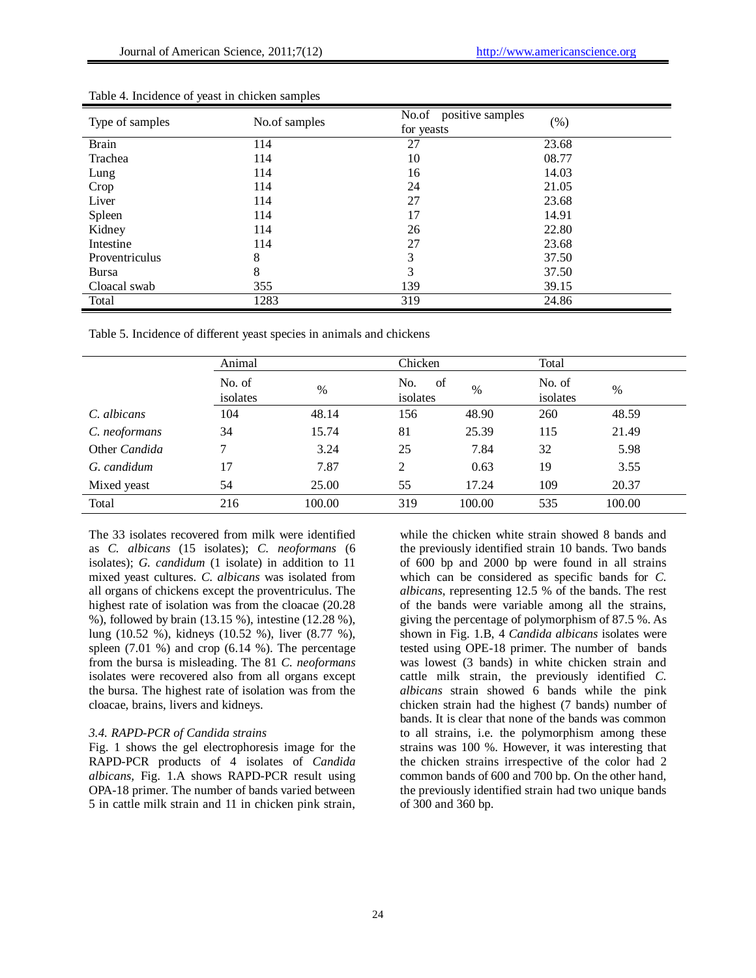| Type of samples | No.of samples | positive samples<br>No.of<br>for yeasts | (% )  |
|-----------------|---------------|-----------------------------------------|-------|
| <b>Brain</b>    | 114           | 27                                      | 23.68 |
| Trachea         | 114           | 10                                      | 08.77 |
| Lung            | 114           | 16                                      | 14.03 |
| Crop            | 114           | 24                                      | 21.05 |
| Liver           | 114           | 27                                      | 23.68 |
| Spleen          | 114           | 17                                      | 14.91 |
| Kidney          | 114           | 26                                      | 22.80 |
| Intestine       | 114           | 27                                      | 23.68 |
| Proventriculus  | 8             | 3                                       | 37.50 |
| <b>Bursa</b>    | 8             | 3                                       | 37.50 |
| Cloacal swab    | 355           | 139                                     | 39.15 |
| Total           | 1283          | 319                                     | 24.86 |

Table 4. Incidence of yeast in chicken samples

Table 5. Incidence of different yeast species in animals and chickens

|               | Animal             |        |                 | Chicken    |                    | Total  |  |
|---------------|--------------------|--------|-----------------|------------|--------------------|--------|--|
|               | No. of<br>isolates | $\%$   | No.<br>isolates | of<br>$\%$ | No. of<br>isolates | $\%$   |  |
| C. albicans   | 104                | 48.14  | 156             | 48.90      | 260                | 48.59  |  |
| C. neoformans | 34                 | 15.74  | 81              | 25.39      | 115                | 21.49  |  |
| Other Candida | 7                  | 3.24   | 25              | 7.84       | 32                 | 5.98   |  |
| G. candidum   | 17                 | 7.87   | 2               | 0.63       | 19                 | 3.55   |  |
| Mixed yeast   | 54                 | 25.00  | 55              | 17.24      | 109                | 20.37  |  |
| Total         | 216                | 100.00 | 319             | 100.00     | 535                | 100.00 |  |

The 33 isolates recovered from milk were identified as *C. albicans* (15 isolates); *C. neoformans* (6 isolates); *G. candidum* (1 isolate) in addition to 11 mixed yeast cultures. *C. albicans* was isolated from all organs of chickens except the proventriculus. The highest rate of isolation was from the cloacae (20.28 %), followed by brain (13.15 %), intestine (12.28 %), lung (10.52 %), kidneys (10.52 %), liver (8.77 %), spleen  $(7.01 \%)$  and crop  $(6.14 \%)$ . The percentage from the bursa is misleading. The 81 *C. neoformans* isolates were recovered also from all organs except the bursa. The highest rate of isolation was from the cloacae, brains, livers and kidneys.

#### *3.4. RAPD-PCR of Candida strains*

Fig. 1 shows the gel electrophoresis image for the RAPD-PCR products of 4 isolates of *Candida albicans,* Fig. 1.A shows RAPD-PCR result using OPA-18 primer. The number of bands varied between 5 in cattle milk strain and 11 in chicken pink strain, while the chicken white strain showed 8 bands and the previously identified strain 10 bands. Two bands of 600 bp and 2000 bp were found in all strains which can be considered as specific bands for *C. albicans*, representing 12.5 % of the bands. The rest of the bands were variable among all the strains, giving the percentage of polymorphism of 87.5 %. As shown in Fig. 1.B, 4 *Candida albicans* isolates were tested using OPE-18 primer. The number of bands was lowest (3 bands) in white chicken strain and cattle milk strain, the previously identified *C. albicans* strain showed 6 bands while the pink chicken strain had the highest (7 bands) number of bands. It is clear that none of the bands was common to all strains, i.e. the polymorphism among these strains was 100 %. However, it was interesting that the chicken strains irrespective of the color had 2 common bands of 600 and 700 bp. On the other hand, the previously identified strain had two unique bands of 300 and 360 bp.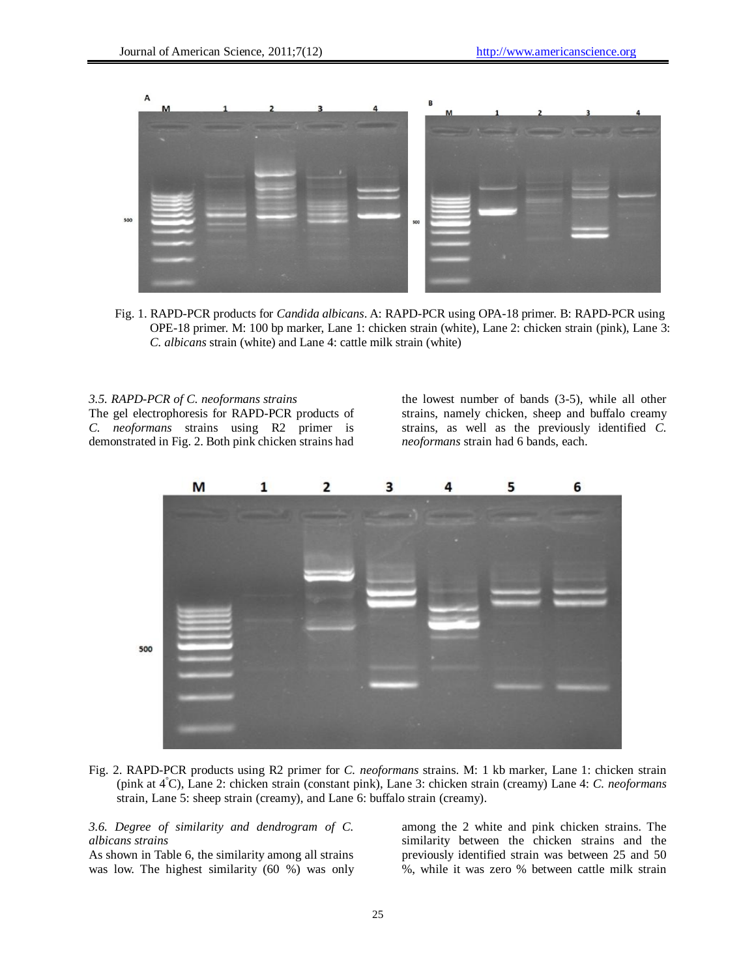

Fig. 1. RAPD-PCR products for *Candida albicans*. A: RAPD-PCR using OPA-18 primer. B: RAPD-PCR using OPE-18 primer. M: 100 bp marker, Lane 1: chicken strain (white), Lane 2: chicken strain (pink), Lane 3: *C. albicans* strain (white) and Lane 4: cattle milk strain (white)

#### *3.5. RAPD-PCR of C. neoformans strains*

The gel electrophoresis for RAPD-PCR products of *C. neoformans* strains using R2 primer is demonstrated in Fig. 2. Both pink chicken strains had

the lowest number of bands (3-5), while all other strains, namely chicken, sheep and buffalo creamy strains, as well as the previously identified *C. neoformans* strain had 6 bands, each.



Fig. 2. RAPD-PCR products using R2 primer for *C. neoformans* strains. M: 1 kb marker, Lane 1: chicken strain (pink at 4°C), Lane 2: chicken strain (constant pink), Lane 3: chicken strain (creamy) Lane 4: *C. neoformans* strain, Lane 5: sheep strain (creamy), and Lane 6: buffalo strain (creamy).

## *3.6. Degree of similarity and dendrogram of C. albicans strains*

As shown in Table 6, the similarity among all strains was low. The highest similarity (60 %) was only among the 2 white and pink chicken strains. The similarity between the chicken strains and the previously identified strain was between 25 and 50 %, while it was zero % between cattle milk strain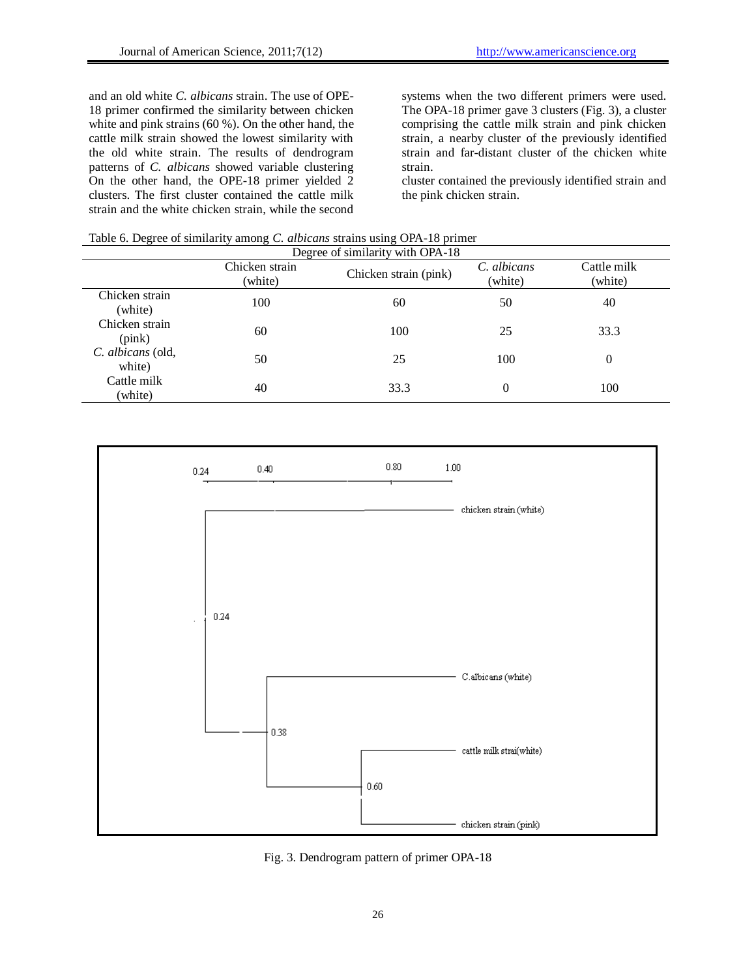and an old white *C. albicans* strain. The use of OPE-18 primer confirmed the similarity between chicken white and pink strains (60 %). On the other hand, the cattle milk strain showed the lowest similarity with the old white strain. The results of dendrogram patterns of *C. albicans* showed variable clustering On the other hand, the OPE-18 primer yielded 2 clusters. The first cluster contained the cattle milk strain and the white chicken strain, while the second

systems when the two different primers were used. The OPA-18 primer gave 3 clusters (Fig. 3), a cluster comprising the cattle milk strain and pink chicken strain, a nearby cluster of the previously identified strain and far-distant cluster of the chicken white strain.

cluster contained the previously identified strain and the pink chicken strain.

Table 6. Degree of similarity among *C. albicans* strains using OPA-18 primer

|                             | Chicken strain<br>(white) | Degree of similarity with OPA-18<br>Chicken strain (pink) | C. albicans<br>(white) | Cattle milk<br>(white) |
|-----------------------------|---------------------------|-----------------------------------------------------------|------------------------|------------------------|
| Chicken strain<br>(white)   | 100                       | 60                                                        | 50                     | 40                     |
| Chicken strain<br>(pink)    | 60                        | 100                                                       | 25                     | 33.3                   |
| C. albicans (old,<br>white) | 50                        | 25                                                        | 100                    | $\Omega$               |
| Cattle milk<br>(white)      | 40                        | 33.3                                                      | $\theta$               | 100                    |



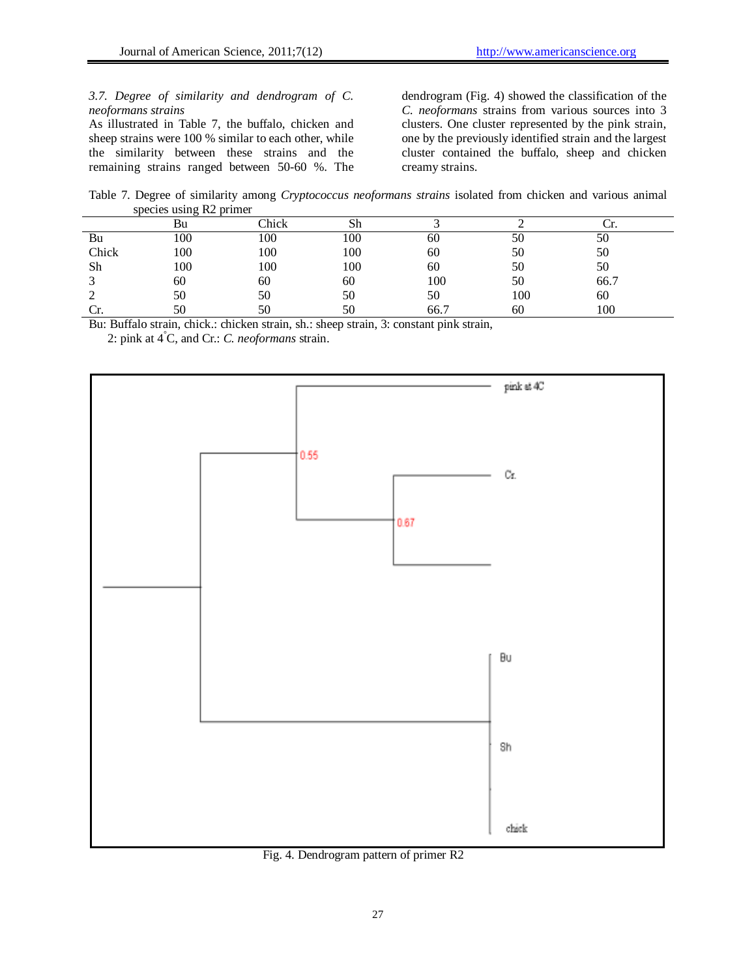# *3.7. Degree of similarity and dendrogram of C. neoformans strains*

As illustrated in Table 7, the buffalo, chicken and sheep strains were 100 % similar to each other, while the similarity between these strains and the remaining strains ranged between 50-60 %. The dendrogram (Fig. 4) showed the classification of the *C. neoformans* strains from various sources into 3 clusters. One cluster represented by the pink strain, one by the previously identified strain and the largest cluster contained the buffalo, sheep and chicken creamy strains.

Table 7. Degree of similarity among *Cryptococcus neoformans strains* isolated from chicken and various animal species using R2 primer

|       | ີ<br>Bu | Chick | Sh  |      |     |      |  |
|-------|---------|-------|-----|------|-----|------|--|
| Bu    | 100     | 100   | 100 | 60   | 50  | 50   |  |
| Chick | 100     | 100   | 100 | 60   | 50  | 50   |  |
| Sh    | 100     | 100   | 100 | 60   | 50  | 50   |  |
|       | 60      | 60    | 60  | 100  | 50  | 66.7 |  |
|       | 50      | 50    | 50  | 50   | 100 | 60   |  |
|       | 50      |       | 50  | 66.7 | 60  | 100  |  |

Bu: Buffalo strain, chick.: chicken strain, sh.: sheep strain, 3: constant pink strain,

2: pink at 4 °C, and Cr.: *C. neoformans* strain.



Fig. 4. Dendrogram pattern of primer R2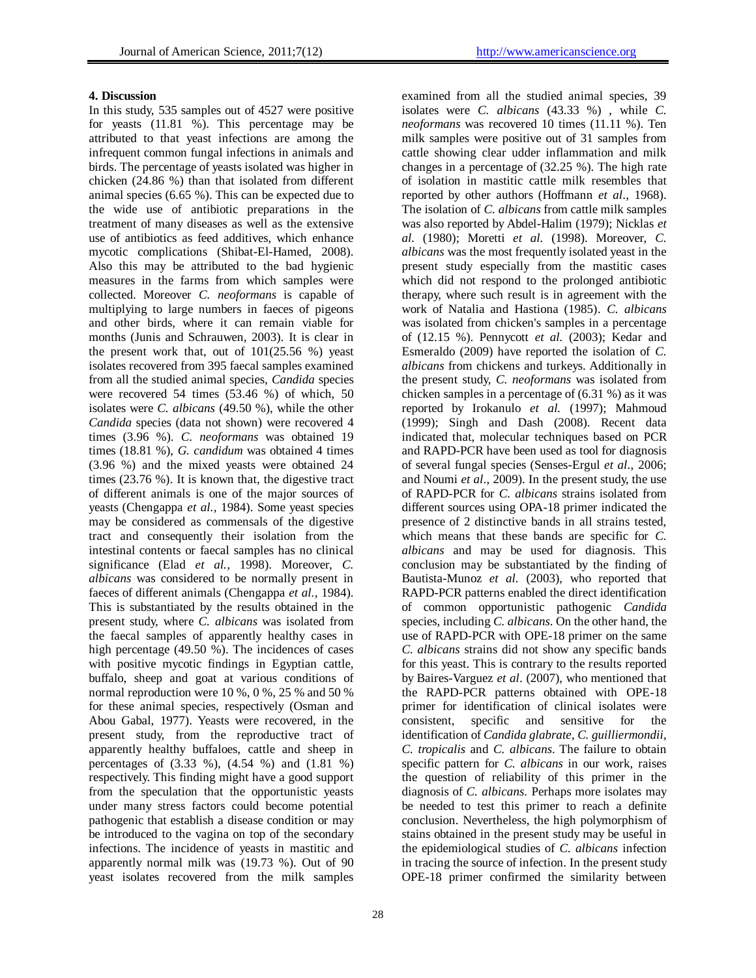# **4. Discussion**

In this study, 535 samples out of 4527 were positive for yeasts (11.81 %). This percentage may be attributed to that yeast infections are among the infrequent common fungal infections in animals and birds. The percentage of yeasts isolated was higher in chicken (24.86 %) than that isolated from different animal species (6.65 %). This can be expected due to the wide use of antibiotic preparations in the treatment of many diseases as well as the extensive use of antibiotics as feed additives, which enhance mycotic complications (Shibat-El-Hamed, 2008). Also this may be attributed to the bad hygienic measures in the farms from which samples were collected. Moreover *C. neoformans* is capable of multiplying to large numbers in faeces of pigeons and other birds, where it can remain viable for months (Junis and Schrauwen, 2003). It is clear in the present work that, out of  $101(25.56 %)$  yeast isolates recovered from 395 faecal samples examined from all the studied animal species, *Candida* species were recovered 54 times (53.46 %) of which, 50 isolates were *C. albicans* (49.50 %), while the other *Candida* species (data not shown) were recovered 4 times (3.96 %). *C. neoformans* was obtained 19 times (18.81 %), *G. candidum* was obtained 4 times (3.96 %) and the mixed yeasts were obtained 24 times (23.76 %). It is known that, the digestive tract of different animals is one of the major sources of yeasts (Chengappa *et al.,* 1984). Some yeast species may be considered as commensals of the digestive tract and consequently their isolation from the intestinal contents or faecal samples has no clinical significance (Elad *et al.,* 1998). Moreover, *C. albicans* was considered to be normally present in faeces of different animals (Chengappa *et al.,* 1984). This is substantiated by the results obtained in the present study, where *C. albicans* was isolated from the faecal samples of apparently healthy cases in high percentage (49.50 %). The incidences of cases with positive mycotic findings in Egyptian cattle, buffalo, sheep and goat at various conditions of normal reproduction were 10 %, 0 %, 25 % and 50 % for these animal species, respectively (Osman and Abou Gabal, 1977). Yeasts were recovered, in the present study, from the reproductive tract of apparently healthy buffaloes, cattle and sheep in percentages of (3.33 %), (4.54 %) and (1.81 %) respectively. This finding might have a good support from the speculation that the opportunistic yeasts under many stress factors could become potential pathogenic that establish a disease condition or may be introduced to the vagina on top of the secondary infections. The incidence of yeasts in mastitic and apparently normal milk was (19.73 %). Out of 90 yeast isolates recovered from the milk samples examined from all the studied animal species, 39 isolates were *C. albicans* (43.33 %) , while *C. neoformans* was recovered 10 times (11.11 %). Ten milk samples were positive out of 31 samples from cattle showing clear udder inflammation and milk changes in a percentage of (32.25 %). The high rate of isolation in mastitic cattle milk resembles that reported by other authors (Hoffmann *et al*., 1968). The isolation of *C. albicans* from cattle milk samples was also reported by Abdel-Halim (1979); Nicklas *et al.* (1980); Moretti *et al.* (1998). Moreover, *C. albicans* was the most frequently isolated yeast in the present study especially from the mastitic cases which did not respond to the prolonged antibiotic therapy, where such result is in agreement with the work of Natalia and Hastiona (1985). *C. albicans* was isolated from chicken's samples in a percentage of (12.15 %). Pennycott *et al.* (2003); Kedar and Esmeraldo (2009) have reported the isolation of *C. albicans* from chickens and turkeys. Additionally in the present study, *C. neoformans* was isolated from chicken samples in a percentage of (6.31 %) as it was reported by Irokanulo *et al.* (1997); Mahmoud (1999); Singh and Dash (2008). Recent data indicated that, molecular techniques based on PCR and RAPD-PCR have been used as tool for diagnosis of several fungal species (Senses-Ergul *et al*., 2006; and Noumi *et al*., 2009). In the present study, the use of RAPD-PCR for *C. albicans* strains isolated from different sources using OPA-18 primer indicated the presence of 2 distinctive bands in all strains tested, which means that these bands are specific for *C. albicans* and may be used for diagnosis. This conclusion may be substantiated by the finding of Bautista-Munoz *et al.* (2003), who reported that RAPD-PCR patterns enabled the direct identification of common opportunistic pathogenic *Candida* species, including *C. albicans*. On the other hand, the use of RAPD-PCR with OPE-18 primer on the same *C. albicans* strains did not show any specific bands for this yeast. This is contrary to the results reported by Baires-Varguez *et al*. (2007), who mentioned that the RAPD-PCR patterns obtained with OPE-18 primer for identification of clinical isolates were consistent, specific and sensitive for the identification of *Candida glabrate*, *C. guilliermondii*, *C. tropicalis* and *C. albicans*. The failure to obtain specific pattern for *C. albicans* in our work, raises the question of reliability of this primer in the diagnosis of *C. albicans*. Perhaps more isolates may be needed to test this primer to reach a definite conclusion. Nevertheless, the high polymorphism of stains obtained in the present study may be useful in the epidemiological studies of *C. albicans* infection in tracing the source of infection. In the present study OPE-18 primer confirmed the similarity between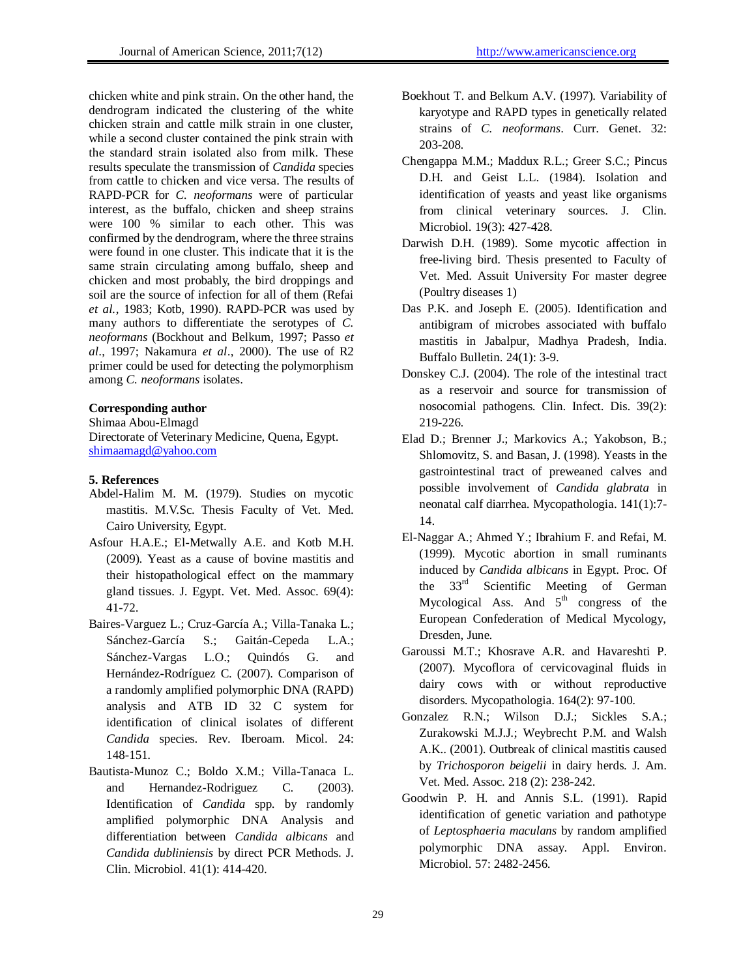chicken white and pink strain. On the other hand, the dendrogram indicated the clustering of the white chicken strain and cattle milk strain in one cluster, while a second cluster contained the pink strain with the standard strain isolated also from milk. These results speculate the transmission of *Candida* species from cattle to chicken and vice versa. The results of RAPD-PCR for *C. neoformans* were of particular interest, as the buffalo, chicken and sheep strains were 100 % similar to each other. This was confirmed by the dendrogram, where the three strains were found in one cluster. This indicate that it is the same strain circulating among buffalo, sheep and chicken and most probably, the bird droppings and soil are the source of infection for all of them (Refai *et al.*, 1983; Kotb, 1990). RAPD-PCR was used by many authors to differentiate the serotypes of *C. neoformans* (Bockhout and Belkum, 1997; Passo *et al*., 1997; Nakamura *et al*., 2000). The use of R2 primer could be used for detecting the polymorphism among *C. neoformans* isolates.

# **Corresponding author**

Shimaa Abou-Elmagd

Directorate of Veterinary Medicine, Quena, Egypt. [shimaamagd@yahoo.com](mailto:shimaamagd@yahoo.com)

#### **5. References**

- Abdel-Halim M. M. (1979). Studies on mycotic mastitis. M.V.Sc. Thesis Faculty of Vet. Med. Cairo University, Egypt.
- Asfour H.A.E.; El-Metwally A.E. and Kotb M.H. (2009). Yeast as a cause of bovine mastitis and their histopathological effect on the mammary gland tissues. J. Egypt. Vet. Med. Assoc. 69(4): 41-72.
- Baires-Varguez L.; Cruz-García A.; Villa-Tanaka L.; Sánchez-García S.; Gaitán-Cepeda L.A.; Sánchez-Vargas L.O.; Quindós G. and Hernández-Rodríguez C. (2007). Comparison of a randomly amplified polymorphic DNA (RAPD) analysis and ATB ID 32 C system for identification of clinical isolates of different *Candida* species. Rev. Iberoam. Micol. 24: 148-151.
- Bautista-Munoz C.; Boldo X.M.; Villa-Tanaca L. and Hernandez-Rodriguez C. (2003). Identification of *Candida* spp. by randomly amplified polymorphic DNA Analysis and differentiation between *Candida albicans* and *Candida dubliniensis* by direct PCR Methods. J. Clin. Microbiol. 41(1): 414-420.
- Boekhout T. and Belkum A.V. (1997). Variability of karyotype and RAPD types in genetically related strains of *C. neoformans*. Curr. Genet. 32: 203-208.
- Chengappa M.M.; Maddux R.L.; Greer S.C.; Pincus D.H. and Geist L.L. (1984). Isolation and identification of yeasts and yeast like organisms from clinical veterinary sources. J. Clin. Microbiol. 19(3): 427-428.
- Darwish D.H. (1989). Some mycotic affection in free-living bird. Thesis presented to Faculty of Vet. Med. Assuit University For master degree (Poultry diseases 1)
- Das P.K. and Joseph E. (2005). Identification and antibigram of microbes associated with buffalo mastitis in Jabalpur, Madhya Pradesh, India. Buffalo Bulletin. 24(1): 3-9.
- Donskey C.J. (2004). The role of the intestinal tract as a reservoir and source for transmission of nosocomial pathogens. Clin. Infect. Dis. 39(2): 219-226.
- Elad D.; Brenner J.; Markovics A.; Yakobson, B.; Shlomovitz, S. and Basan, J. (1998). Yeasts in the gastrointestinal tract of preweaned calves and possible involvement of *Candida glabrata* in neonatal calf diarrhea. Mycopathologia. 141(1):7- 14.
- El-Naggar A.; Ahmed Y.; Ibrahium F. and Refai, M. (1999). Mycotic abortion in small ruminants induced by *Candida albicans* in Egypt. Proc. Of the 33rd Scientific Meeting of German Mycological Ass. And  $5<sup>th</sup>$  congress of the European Confederation of Medical Mycology, Dresden, June.
- Garoussi M.T.; Khosrave A.R. and Havareshti P. (2007). Mycoflora of cervicovaginal fluids in dairy cows with or without reproductive disorders. Mycopathologia. 164(2): 97-100.
- Gonzalez R.N.; Wilson D.J.; Sickles S.A.; Zurakowski M.J.J.; Weybrecht P.M. and Walsh A.K.. (2001). Outbreak of clinical mastitis caused by *Trichosporon beigelii* in dairy herds. J. Am. Vet. Med. Assoc. 218 (2): 238-242.
- Goodwin P. H. and Annis S.L. (1991). Rapid identification of genetic variation and pathotype of *Leptosphaeria maculans* by random amplified polymorphic DNA assay. Appl. Environ. Microbiol. 57: 2482-2456.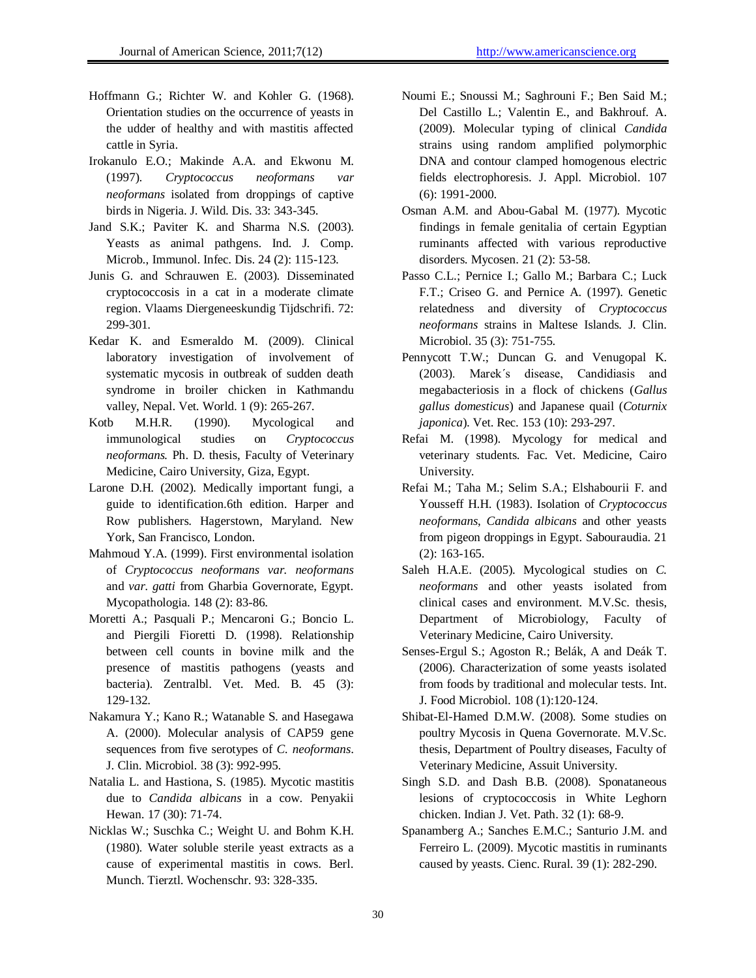- Hoffmann G.; Richter W. and Kohler G. (1968). Orientation studies on the occurrence of yeasts in the udder of healthy and with mastitis affected cattle in Syria.
- Irokanulo E.O.; Makinde A.A. and Ekwonu M. (1997). *Cryptococcus neoformans var neoformans* isolated from droppings of captive birds in Nigeria. J. Wild. Dis. 33: 343-345.
- Jand S.K.; Paviter K. and Sharma N.S. (2003). Yeasts as animal pathgens. Ind. J. Comp. Microb., Immunol. Infec. Dis. 24 (2): 115-123.
- Junis G. and Schrauwen E. (2003). Disseminated cryptococcosis in a cat in a moderate climate region. Vlaams Diergeneeskundig Tijdschrifi. 72: 299-301.
- Kedar K. and Esmeraldo M. (2009). Clinical laboratory investigation of involvement of systematic mycosis in outbreak of sudden death syndrome in broiler chicken in Kathmandu valley, Nepal. Vet. World. 1 (9): 265-267.
- Kotb M.H.R. (1990). Mycological and immunological studies on *Cryptococcus neoformans.* Ph. D. thesis, Faculty of Veterinary Medicine, Cairo University, Giza, Egypt.
- Larone D.H. (2002). Medically important fungi, a guide to identification.6th edition. Harper and Row publishers. Hagerstown, Maryland. New York, San Francisco, London.
- Mahmoud Y.A. (1999). First environmental isolation of *Cryptococcus neoformans var. neoformans*  and *var. gatti* from Gharbia Governorate, Egypt. Mycopathologia. 148 (2): 83-86.
- Moretti A.; Pasquali P.; Mencaroni G.; Boncio L. and Piergili Fioretti D. (1998). Relationship between cell counts in bovine milk and the presence of mastitis pathogens (yeasts and bacteria). Zentralbl. Vet. Med. B. 45 (3): 129-132.
- Nakamura Y.; Kano R.; Watanable S. and Hasegawa A. (2000). Molecular analysis of CAP59 gene sequences from five serotypes of *C. neoformans*. J. Clin. Microbiol. 38 (3): 992-995.
- Natalia L. and Hastiona, S. (1985). Mycotic mastitis due to *Candida albicans* in a cow. Penyakii Hewan. 17 (30): 71-74.
- Nicklas W.; Suschka C.; Weight U. and Bohm K.H. (1980). Water soluble sterile yeast extracts as a cause of experimental mastitis in cows. Berl. Munch. Tierztl. Wochenschr. 93: 328-335.
- Noumi E.; Snoussi M.; Saghrouni F.; Ben Said M.; Del Castillo L.; Valentin E., and Bakhrouf. A. (2009). Molecular typing of clinical *Candida* strains using random amplified polymorphic DNA and contour clamped homogenous electric fields electrophoresis. J. Appl. Microbiol. 107 (6): 1991-2000.
- Osman A.M. and Abou-Gabal M. (1977). Mycotic findings in female genitalia of certain Egyptian ruminants affected with various reproductive disorders. Mycosen. 21 (2): 53-58.
- Passo C.L.; Pernice I.; Gallo M.; Barbara C.; Luck F.T.; Criseo G. and Pernice A. (1997). Genetic relatedness and diversity of *Cryptococcus neoformans* strains in Maltese Islands. J. Clin. Microbiol. 35 (3): 751-755.
- Pennycott T.W.; Duncan G. and Venugopal K. (2003). Marek΄s disease, Candidiasis and megabacteriosis in a flock of chickens (*Gallus gallus domesticus*) and Japanese quail (*Coturnix japonica*). Vet. Rec. 153 (10): 293-297.
- Refai M. (1998). Mycology for medical and veterinary students. Fac. Vet. Medicine, Cairo University.
- Refai M.; Taha M.; Selim S.A.; Elshabourii F. and Yousseff H.H. (1983). Isolation of *Cryptococcus neoformans*, *Candida albicans* and other yeasts from pigeon droppings in Egypt. Sabouraudia. 21 (2): 163-165.
- Saleh H.A.E. (2005). Mycological studies on *C. neoformans* and other yeasts isolated from clinical cases and environment. M.V.Sc. thesis, Department of Microbiology, Faculty of Veterinary Medicine, Cairo University.
- [Senses-Ergul](http://www.ncbi.nlm.nih.gov/pubmed?term=%22Senses-Ergul%20S%22%5BAuthor%5D) S.; [Agoston R](http://www.ncbi.nlm.nih.gov/pubmed?term=%22Agoston%20R%22%5BAuthor%5D).; [Belák, A](http://www.ncbi.nlm.nih.gov/pubmed?term=%22Bel%C3%A1k%20A%22%5BAuthor%5D) and [Deák](http://www.ncbi.nlm.nih.gov/pubmed?term=%22De%C3%A1k%20T%22%5BAuthor%5D) T. (2006). Characterization of some yeasts isolated from foods by traditional and molecular tests. [Int.](javascript:AL_get(this,%20)  [J. Food Microbiol.](javascript:AL_get(this,%20) 108 (1):120-124.
- Shibat-El-Hamed D.M.W. (2008). Some studies on poultry Mycosis in Quena Governorate. M.V.Sc. thesis, Department of Poultry diseases, Faculty of Veterinary Medicine, Assuit University.
- Singh S.D. and Dash B.B. (2008). Sponataneous lesions of cryptococcosis in White Leghorn chicken. Indian J. Vet. Path. 32 (1): 68-9.
- Spanamberg A.; [Sanches](http://www.scielo.br/cgi-bin/wxis.exe/iah/?IsisScript=iah/iah.xis&base=article%5Edlibrary&format=iso.pft&lang=i&nextAction=lnk&indexSearch=AU&exprSearch=SANCHES,+EDNA+MARIA+CAVALLINI) E.M.C.; [Santurio J](http://www.scielo.br/cgi-bin/wxis.exe/iah/?IsisScript=iah/iah.xis&base=article%5Edlibrary&format=iso.pft&lang=i&nextAction=lnk&indexSearch=AU&exprSearch=SANTURIO,+JANIO+MORAIS).M. and [Ferreiro](http://www.scielo.br/cgi-bin/wxis.exe/iah/?IsisScript=iah/iah.xis&base=article%5Edlibrary&format=iso.pft&lang=i&nextAction=lnk&indexSearch=AU&exprSearch=FERREIRO,+LAERTE) L. (2009). Mycotic mastitis in ruminants caused by yeasts. Cienc. Rural. 39 (1): 282-290.